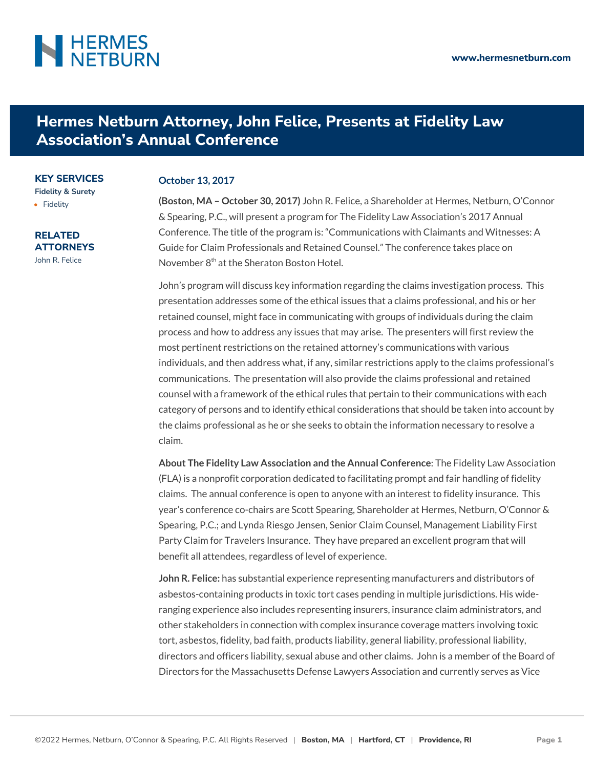## **NERMES**

## **Hermes Netburn Attorney, John Felice, Presents at Fidelity Law Association's Annual Conference**

**KEY SERVICES [Fidelity & Surety](https://www.hermesnetburn.com/service/fidelity-surety/)**

• [Fidelity](https://www.hermesnetburn.com/service/fidelity-surety/fidelity/)

**RELATED ATTORNEYS** [John R. Felice](https://www.hermesnetburn.com/attorney/john-r-felice/)

## **October 13, 2017**

**(Boston, MA – October 30, 2017)** John R. Felice, a Shareholder at Hermes, Netburn, O'Connor & Spearing, P.C., will present a program for The Fidelity Law Association's 2017 Annual Conference. The title of the program is: "Communications with Claimants and Witnesses: A Guide for Claim Professionals and Retained Counsel." The conference takes place on November  $8<sup>th</sup>$  at the Sheraton Boston Hotel.

John's program will discuss key information regarding the claims investigation process. This presentation addresses some of the ethical issues that a claims professional, and his or her retained counsel, might face in communicating with groups of individuals during the claim process and how to address any issues that may arise. The presenters will first review the most pertinent restrictions on the retained attorney's communications with various individuals, and then address what, if any, similar restrictions apply to the claims professional's communications. The presentation will also provide the claims professional and retained counsel with a framework of the ethical rules that pertain to their communications with each category of persons and to identify ethical considerations that should be taken into account by the claims professional as he or she seeks to obtain the information necessary to resolve a claim.

**About The Fidelity Law Association and the Annual Conference**: The Fidelity Law Association (FLA) is a nonprofit corporation dedicated to facilitating prompt and fair handling of fidelity claims. The annual conference is open to anyone with an interest to fidelity insurance. This year's conference co-chairs are Scott Spearing, Shareholder at Hermes, Netburn, O'Connor & Spearing, P.C.; and Lynda Riesgo Jensen, Senior Claim Counsel, Management Liability First Party Claim for Travelers Insurance. They have prepared an excellent program that will benefit all attendees, regardless of level of experience.

**John R. Felice:** has substantial experience representing manufacturers and distributors of asbestos-containing products in toxic tort cases pending in multiple jurisdictions. His wideranging experience also includes representing insurers, insurance claim administrators, and other stakeholders in connection with complex insurance coverage matters involving toxic tort, asbestos, fidelity, bad faith, products liability, general liability, professional liability, directors and officers liability, sexual abuse and other claims. John is a member of the Board of Directors for the Massachusetts Defense Lawyers Association and currently serves as Vice